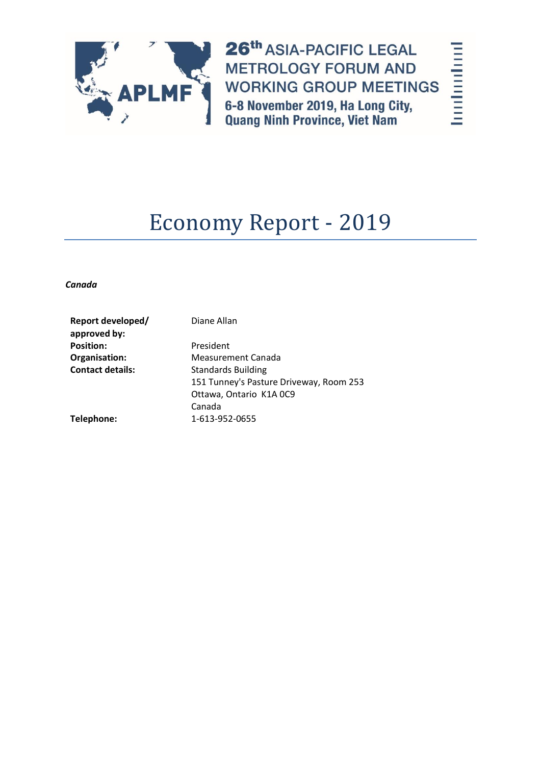

26th ASIA-PACIFIC LEGAL **METROLOGY FORUM AND WORKING GROUP MEETINGS** 6-8 November 2019, Ha Long City,<br>Quang Ninh Province, Viet Nam

hodoolool

# Economy Report - 2019

*Canada*

| Report developed/<br>approved by: | Diane Allan                             |
|-----------------------------------|-----------------------------------------|
| <b>Position:</b>                  | President                               |
| Organisation:                     | <b>Measurement Canada</b>               |
| <b>Contact details:</b>           | <b>Standards Building</b>               |
|                                   | 151 Tunney's Pasture Driveway, Room 253 |
|                                   | Ottawa, Ontario K1A 0C9                 |
|                                   | Canada                                  |
| Telephone:                        | 1-613-952-0655                          |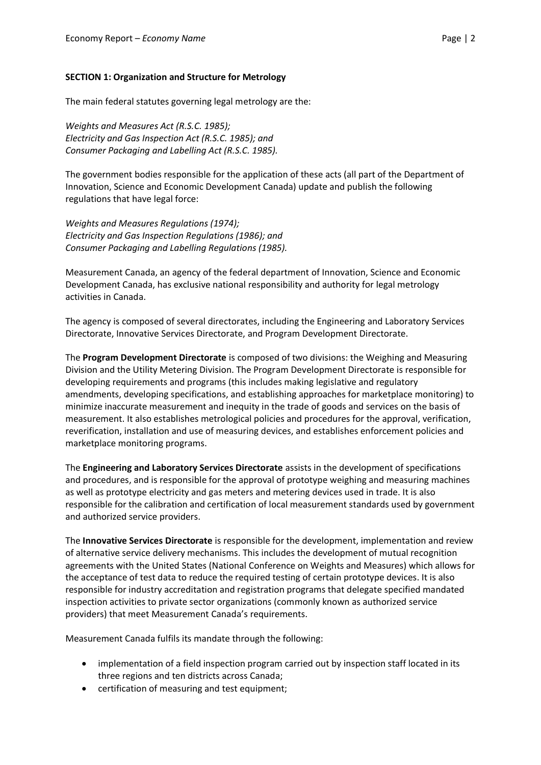#### **SECTION 1: Organization and Structure for Metrology**

The main federal statutes governing legal metrology are the:

*Weights and Measures Act (R.S.C. 1985); Electricity and Gas Inspection Act (R.S.C. 1985); and Consumer Packaging and Labelling Act (R.S.C. 1985).*

The government bodies responsible for the application of these acts (all part of the Department of Innovation, Science and Economic Development Canada) update and publish the following regulations that have legal force:

*Weights and Measures Regulations (1974); Electricity and Gas Inspection Regulations (1986); and Consumer Packaging and Labelling Regulations (1985).*

Measurement Canada, an agency of the federal department of Innovation, Science and Economic Development Canada, has exclusive national responsibility and authority for legal metrology activities in Canada.

The agency is composed of several directorates, including the Engineering and Laboratory Services Directorate, Innovative Services Directorate, and Program Development Directorate.

The **Program Development Directorate** is composed of two divisions: the Weighing and Measuring Division and the Utility Metering Division. The Program Development Directorate is responsible for developing requirements and programs (this includes making legislative and regulatory amendments, developing specifications, and establishing approaches for marketplace monitoring) to minimize inaccurate measurement and inequity in the trade of goods and services on the basis of measurement. It also establishes metrological policies and procedures for the approval, verification, reverification, installation and use of measuring devices, and establishes enforcement policies and marketplace monitoring programs.

The **Engineering and Laboratory Services Directorate** assists in the development of specifications and procedures, and is responsible for the approval of prototype weighing and measuring machines as well as prototype electricity and gas meters and metering devices used in trade. It is also responsible for the calibration and certification of local measurement standards used by government and authorized service providers.

The **Innovative Services Directorate** is responsible for the development, implementation and review of alternative service delivery mechanisms. This includes the development of mutual recognition agreements with the United States (National Conference on Weights and Measures) which allows for the acceptance of test data to reduce the required testing of certain prototype devices. It is also responsible for industry accreditation and registration programs that delegate specified mandated inspection activities to private sector organizations (commonly known as authorized service providers) that meet Measurement Canada's requirements.

Measurement Canada fulfils its mandate through the following:

- implementation of a field inspection program carried out by inspection staff located in its three regions and ten districts across Canada;
- certification of measuring and test equipment;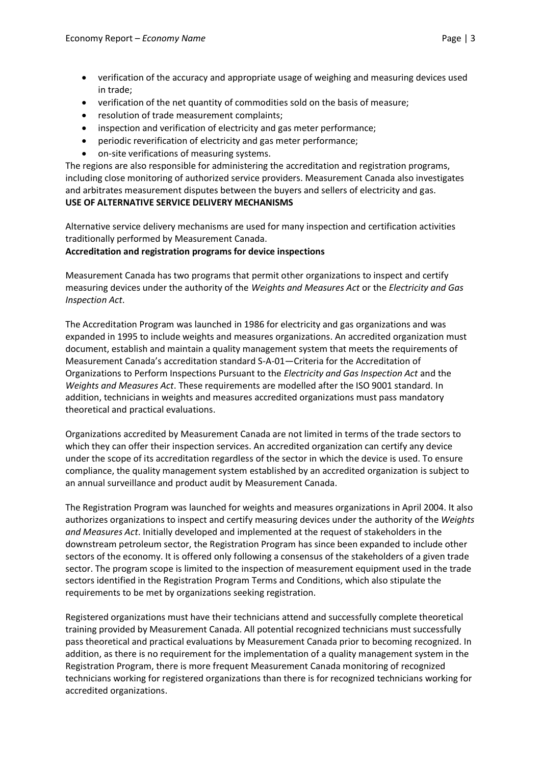- verification of the accuracy and appropriate usage of weighing and measuring devices used in trade;
- verification of the net quantity of commodities sold on the basis of measure;
- resolution of trade measurement complaints;
- inspection and verification of electricity and gas meter performance;
- periodic reverification of electricity and gas meter performance;
- on-site verifications of measuring systems.

The regions are also responsible for administering the accreditation and registration programs, including close monitoring of authorized service providers. Measurement Canada also investigates and arbitrates measurement disputes between the buyers and sellers of electricity and gas. **USE OF ALTERNATIVE SERVICE DELIVERY MECHANISMS**

Alternative service delivery mechanisms are used for many inspection and certification activities traditionally performed by Measurement Canada.

#### **Accreditation and registration programs for device inspections**

Measurement Canada has two programs that permit other organizations to inspect and certify measuring devices under the authority of the *Weights and Measures Act* or the *Electricity and Gas Inspection Act*.

The Accreditation Program was launched in 1986 for electricity and gas organizations and was expanded in 1995 to include weights and measures organizations. An accredited organization must document, establish and maintain a quality management system that meets the requirements of Measurement Canada's accreditation standard S-A-01—Criteria for the Accreditation of Organizations to Perform Inspections Pursuant to the *Electricity and Gas Inspection Act* and the *Weights and Measures Act*. These requirements are modelled after the ISO 9001 standard. In addition, technicians in weights and measures accredited organizations must pass mandatory theoretical and practical evaluations.

Organizations accredited by Measurement Canada are not limited in terms of the trade sectors to which they can offer their inspection services. An accredited organization can certify any device under the scope of its accreditation regardless of the sector in which the device is used. To ensure compliance, the quality management system established by an accredited organization is subject to an annual surveillance and product audit by Measurement Canada.

The Registration Program was launched for weights and measures organizations in April 2004. It also authorizes organizations to inspect and certify measuring devices under the authority of the *Weights and Measures Act*. Initially developed and implemented at the request of stakeholders in the downstream petroleum sector, the Registration Program has since been expanded to include other sectors of the economy. It is offered only following a consensus of the stakeholders of a given trade sector. The program scope is limited to the inspection of measurement equipment used in the trade sectors identified in the Registration Program Terms and Conditions, which also stipulate the requirements to be met by organizations seeking registration.

Registered organizations must have their technicians attend and successfully complete theoretical training provided by Measurement Canada. All potential recognized technicians must successfully pass theoretical and practical evaluations by Measurement Canada prior to becoming recognized. In addition, as there is no requirement for the implementation of a quality management system in the Registration Program, there is more frequent Measurement Canada monitoring of recognized technicians working for registered organizations than there is for recognized technicians working for accredited organizations.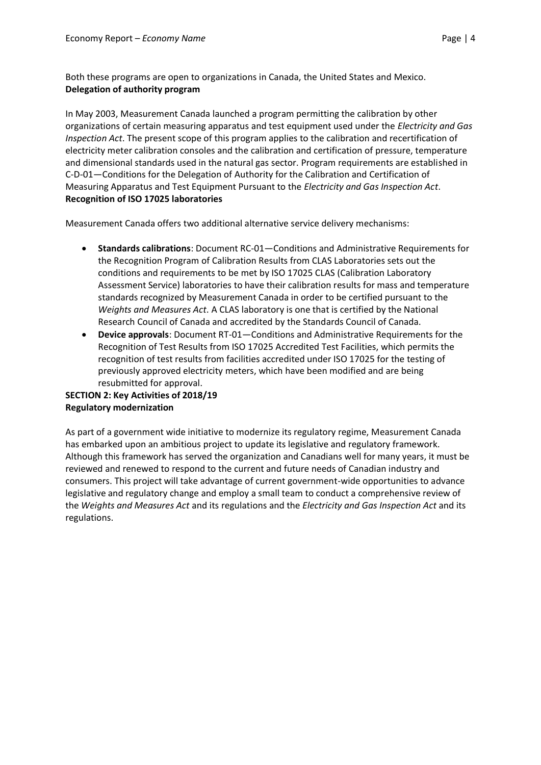Both these programs are open to organizations in Canada, the United States and Mexico. **Delegation of authority program** 

In May 2003, Measurement Canada launched a program permitting the calibration by other organizations of certain measuring apparatus and test equipment used under the *Electricity and Gas Inspection Act*. The present scope of this program applies to the calibration and recertification of electricity meter calibration consoles and the calibration and certification of pressure, temperature and dimensional standards used in the natural gas sector. Program requirements are established in C-D-01—Conditions for the Delegation of Authority for the Calibration and Certification of Measuring Apparatus and Test Equipment Pursuant to the *Electricity and Gas Inspection Act*. **Recognition of ISO 17025 laboratories**

Measurement Canada offers two additional alternative service delivery mechanisms:

- **Standards calibrations**: Document RC-01—Conditions and Administrative Requirements for the Recognition Program of Calibration Results from CLAS Laboratories sets out the conditions and requirements to be met by ISO 17025 CLAS (Calibration Laboratory Assessment Service) laboratories to have their calibration results for mass and temperature standards recognized by Measurement Canada in order to be certified pursuant to the *Weights and Measures Act*. A CLAS laboratory is one that is certified by the National Research Council of Canada and accredited by the Standards Council of Canada.
- **Device approvals**: Document RT-01—Conditions and Administrative Requirements for the Recognition of Test Results from ISO 17025 Accredited Test Facilities, which permits the recognition of test results from facilities accredited under ISO 17025 for the testing of previously approved electricity meters, which have been modified and are being resubmitted for approval.

# **SECTION 2: Key Activities of 2018/19 Regulatory modernization**

As part of a government wide initiative to modernize its regulatory regime, Measurement Canada has embarked upon an ambitious project to update its legislative and regulatory framework. Although this framework has served the organization and Canadians well for many years, it must be reviewed and renewed to respond to the current and future needs of Canadian industry and consumers. This project will take advantage of current government-wide opportunities to advance legislative and regulatory change and employ a small team to conduct a comprehensive review of the *Weights and Measures Act* and its regulations and the *Electricity and Gas Inspection Act* and its regulations.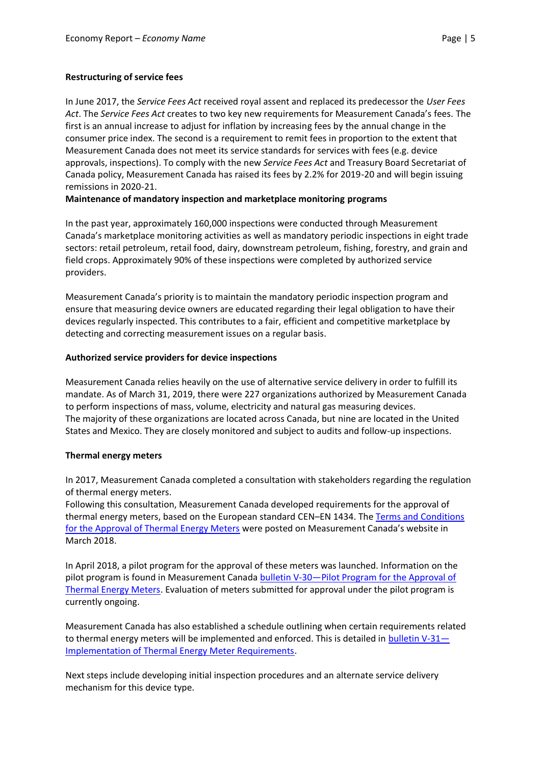In June 2017, the *Service Fees Act* received royal assent and replaced its predecessor the *User Fees Act*. The *Service Fees Act* creates to two key new requirements for Measurement Canada's fees. The first is an annual increase to adjust for inflation by increasing fees by the annual change in the consumer price index. The second is a requirement to remit fees in proportion to the extent that Measurement Canada does not meet its service standards for services with fees (e.g. device approvals, inspections). To comply with the new *Service Fees Act* and Treasury Board Secretariat of Canada policy, Measurement Canada has raised its fees by 2.2% for 2019-20 and will begin issuing remissions in 2020-21.

## **Maintenance of mandatory inspection and marketplace monitoring programs**

In the past year, approximately 160,000 inspections were conducted through Measurement Canada's marketplace monitoring activities as well as mandatory periodic inspections in eight trade sectors: retail petroleum, retail food, dairy, downstream petroleum, fishing, forestry, and grain and field crops. Approximately 90% of these inspections were completed by authorized service providers.

Measurement Canada's priority is to maintain the mandatory periodic inspection program and ensure that measuring device owners are educated regarding their legal obligation to have their devices regularly inspected. This contributes to a fair, efficient and competitive marketplace by detecting and correcting measurement issues on a regular basis.

#### **Authorized service providers for device inspections**

Measurement Canada relies heavily on the use of alternative service delivery in order to fulfill its mandate. As of March 31, 2019, there were 227 organizations authorized by Measurement Canada to perform inspections of mass, volume, electricity and natural gas measuring devices. The majority of these organizations are located across Canada, but nine are located in the United States and Mexico. They are closely monitored and subject to audits and follow-up inspections.

## **Thermal energy meters**

In 2017, Measurement Canada completed a consultation with stakeholders regarding the regulation of thermal energy meters.

Following this consultation, Measurement Canada developed requirements for the approval of thermal energy meters, based on the European standard CEN–EN 1434. The Terms and Conditions [for the Approval of Thermal Energy Meters](https://www.ic.gc.ca/eic/site/mc-mc.nsf/eng/lm04902.html) were posted on Measurement Canada's website in March 2018.

In April 2018, a pilot program for the approval of these meters was launched. Information on the pilot program is found in Measurement Canada bulletin V-30—Pilot Program for the Approval of [Thermal Energy Meters.](https://www.ic.gc.ca/eic/site/mc-mc.nsf/eng/lm04903.html) Evaluation of meters submitted for approval under the pilot program is currently ongoing.

Measurement Canada has also established a schedule outlining when certain requirements related to thermal energy meters will be implemented and enforced. This is detailed in bulletin  $V-31-$ [Implementation of Thermal Energy Meter Requirements.](https://www.ic.gc.ca/eic/site/mc-mc.nsf/eng/lm04915.html)

Next steps include developing initial inspection procedures and an alternate service delivery mechanism for this device type.